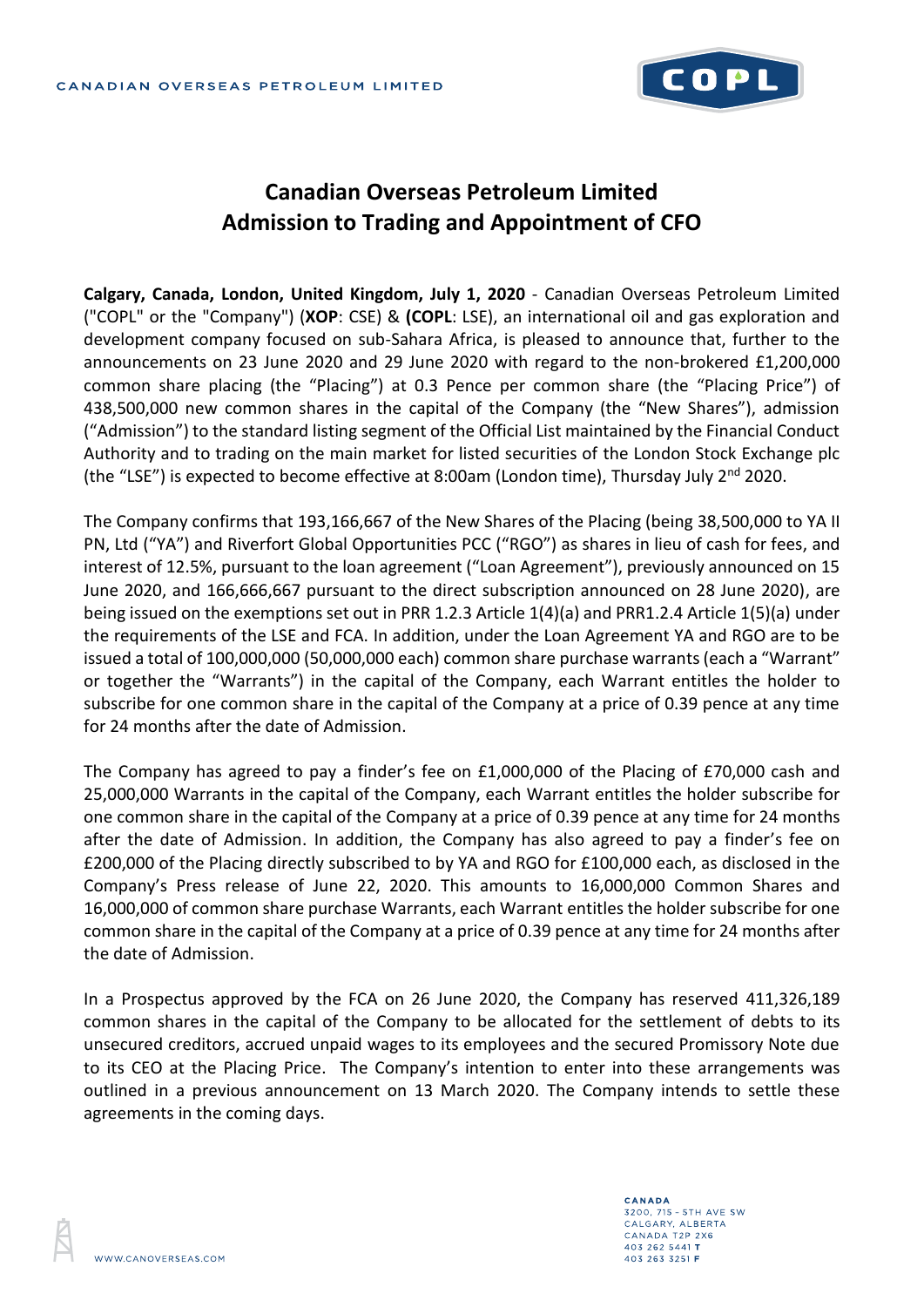

## **Canadian Overseas Petroleum Limited Admission to Trading and Appointment of CFO**

**Calgary, Canada, London, United Kingdom, July 1, 2020** - Canadian Overseas Petroleum Limited ("COPL" or the "Company") (**XOP**: CSE) & **(COPL**: LSE), an international oil and gas exploration and development company focused on sub-Sahara Africa, is pleased to announce that, further to the announcements on 23 June 2020 and 29 June 2020 with regard to the non-brokered £1,200,000 common share placing (the "Placing") at 0.3 Pence per common share (the "Placing Price") of 438,500,000 new common shares in the capital of the Company (the "New Shares"), admission ("Admission") to the standard listing segment of the Official List maintained by the Financial Conduct Authority and to trading on the main market for listed securities of the London Stock Exchange plc (the "LSE") is expected to become effective at 8:00am (London time), Thursday July  $2^{nd}$  2020.

The Company confirms that 193,166,667 of the New Shares of the Placing (being 38,500,000 to YA II PN, Ltd ("YA") and Riverfort Global Opportunities PCC ("RGO") as shares in lieu of cash for fees, and interest of 12.5%, pursuant to the loan agreement ("Loan Agreement"), previously announced on 15 June 2020, and 166,666,667 pursuant to the direct subscription announced on 28 June 2020), are being issued on the exemptions set out in PRR 1.2.3 Article 1(4)(a) and PRR1.2.4 Article 1(5)(a) under the requirements of the LSE and FCA. In addition, under the Loan Agreement YA and RGO are to be issued a total of 100,000,000 (50,000,000 each) common share purchase warrants (each a "Warrant" or together the "Warrants") in the capital of the Company, each Warrant entitles the holder to subscribe for one common share in the capital of the Company at a price of 0.39 pence at any time for 24 months after the date of Admission.

The Company has agreed to pay a finder's fee on £1,000,000 of the Placing of £70,000 cash and 25,000,000 Warrants in the capital of the Company, each Warrant entitles the holder subscribe for one common share in the capital of the Company at a price of 0.39 pence at any time for 24 months after the date of Admission. In addition, the Company has also agreed to pay a finder's fee on £200,000 of the Placing directly subscribed to by YA and RGO for £100,000 each, as disclosed in the Company's Press release of June 22, 2020. This amounts to 16,000,000 Common Shares and 16,000,000 of common share purchase Warrants, each Warrant entitles the holder subscribe for one common share in the capital of the Company at a price of 0.39 pence at any time for 24 months after the date of Admission.

In a Prospectus approved by the FCA on 26 June 2020, the Company has reserved 411,326,189 common shares in the capital of the Company to be allocated for the settlement of debts to its unsecured creditors, accrued unpaid wages to its employees and the secured Promissory Note due to its CEO at the Placing Price. The Company's intention to enter into these arrangements was outlined in a previous announcement on 13 March 2020. The Company intends to settle these agreements in the coming days.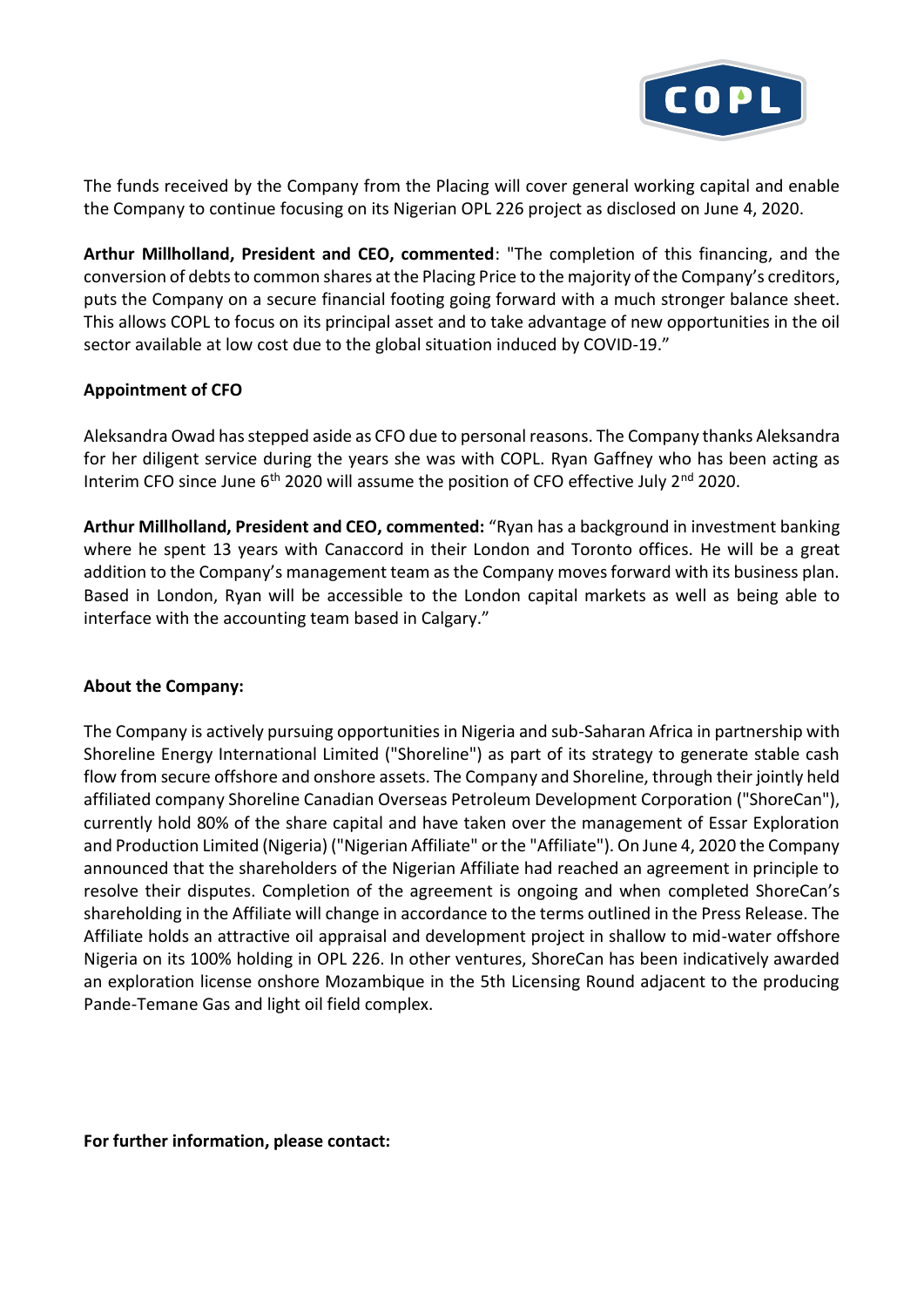

The funds received by the Company from the Placing will cover general working capital and enable the Company to continue focusing on its Nigerian OPL 226 project as disclosed on June 4, 2020.

**Arthur Millholland, President and CEO, commented**: "The completion of this financing, and the conversion of debts to common shares at the Placing Price to the majority of the Company's creditors, puts the Company on a secure financial footing going forward with a much stronger balance sheet. This allows COPL to focus on its principal asset and to take advantage of new opportunities in the oil sector available at low cost due to the global situation induced by COVID-19."

## **Appointment of CFO**

Aleksandra Owad has stepped aside as CFO due to personal reasons. The Company thanks Aleksandra for her diligent service during the years she was with COPL. Ryan Gaffney who has been acting as Interim CFO since June  $6<sup>th</sup>$  2020 will assume the position of CFO effective July  $2<sup>nd</sup>$  2020.

**Arthur Millholland, President and CEO, commented:** "Ryan has a background in investment banking where he spent 13 years with Canaccord in their London and Toronto offices. He will be a great addition to the Company's management team as the Company moves forward with its business plan. Based in London, Ryan will be accessible to the London capital markets as well as being able to interface with the accounting team based in Calgary."

## **About the Company:**

The Company is actively pursuing opportunities in Nigeria and sub-Saharan Africa in partnership with Shoreline Energy International Limited ("Shoreline") as part of its strategy to generate stable cash flow from secure offshore and onshore assets. The Company and Shoreline, through their jointly held affiliated company Shoreline Canadian Overseas Petroleum Development Corporation ("ShoreCan"), currently hold 80% of the share capital and have taken over the management of Essar Exploration and Production Limited (Nigeria) ("Nigerian Affiliate" or the "Affiliate"). On June 4, 2020 the Company announced that the shareholders of the Nigerian Affiliate had reached an agreement in principle to resolve their disputes. Completion of the agreement is ongoing and when completed ShoreCan's shareholding in the Affiliate will change in accordance to the terms outlined in the Press Release. The Affiliate holds an attractive oil appraisal and development project in shallow to mid-water offshore Nigeria on its 100% holding in OPL 226. In other ventures, ShoreCan has been indicatively awarded an exploration license onshore Mozambique in the 5th Licensing Round adjacent to the producing Pande-Temane Gas and light oil field complex.

**For further information, please contact:**